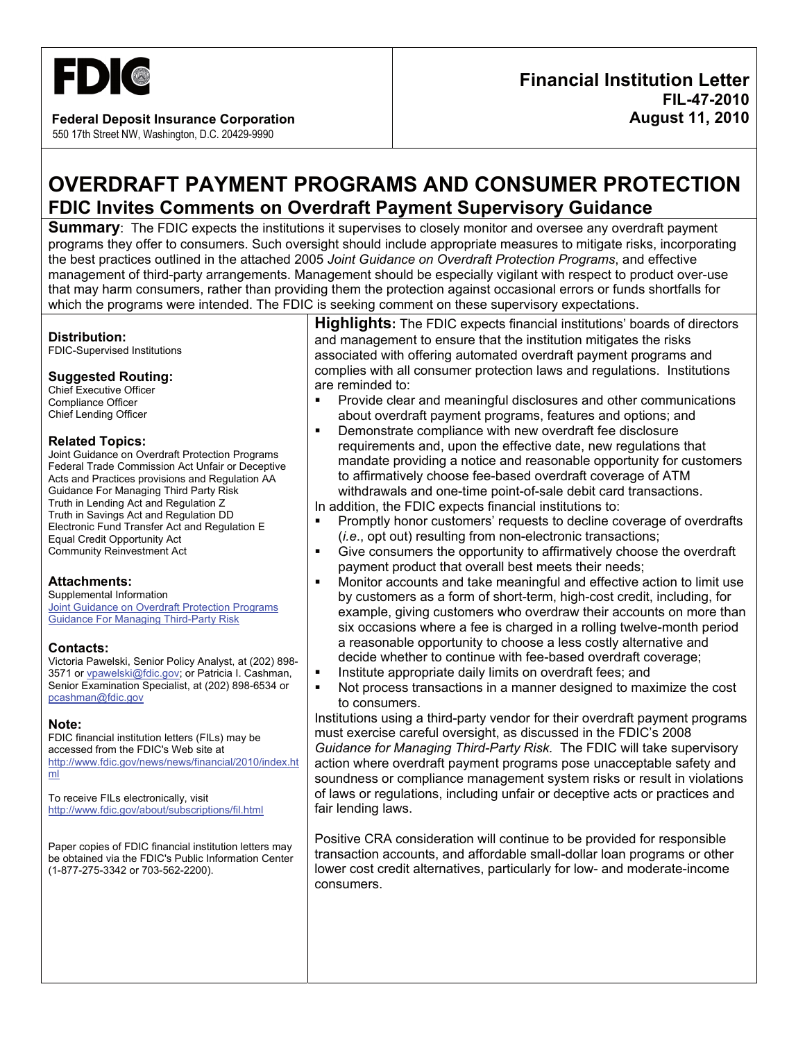

**Federal Deposit Insurance Corporation**  550 17th Street NW, Washington, D.C. 20429-9990

# **OVERDRAFT PAYMENT PROGRAMS AND CONSUMER PROTECTION FDIC Invites Comments on Overdraft Payment Supervisory Guidance**

**Summary**: The FDIC expects the institutions it supervises to closely monitor and oversee any overdraft payment programs they offer to consumers. Such oversight should include appropriate measures to mitigate risks, incorporating the best practices outlined in the attached 2005 *Joint Guidance on Overdraft Protection Programs*, and effective management of third-party arrangements. Management should be especially vigilant with respect to product over-use that may harm consumers, rather than providing them the protection against occasional errors or funds shortfalls for which the programs were intended. The FDIC is seeking comment on these supervisory expectations.

#### **Distribution:**

FDIC-Supervised Institutions

## **Suggested Routing:**

Chief Executive Officer Compliance Officer Chief Lending Officer

## **Related Topics:**

Joint Guidance on Overdraft Protection Programs Federal Trade Commission Act Unfair or Deceptive Acts and Practices provisions and Regulation AA Guidance For Managing Third Party Risk Truth in Lending Act and Regulation Z Truth in Savings Act and Regulation DD Electronic Fund Transfer Act and Regulation E Equal Credit Opportunity Act Community Reinvestment Act

#### **Attachments:**

Supplemental Information **Joint Guidance on Overdraft Protection Programs** Guidance For Managing Third-Party Risk

#### **Contacts:**

Victoria Pawelski, Senior Policy Analyst, at (202) 898- 3571 or vpawelski@fdic.gov; or Patricia I. Cashman, Senior Examination Specialist, at (202) 898-6534 or pcashman@fdic.gov

#### **Note:**

FDIC financial institution letters (FILs) may be accessed from the FDIC's Web site at http://www.fdic.gov/news/news/financial/2010/index.ht ml

To receive FILs electronically, visit http://www.fdic.gov/about/subscriptions/fil.html

Paper copies of FDIC financial institution letters may be obtained via the FDIC's Public Information Center (1-877-275-3342 or 703-562-2200).

**Highlights:** The FDIC expects financial institutions' boards of directors and management to ensure that the institution mitigates the risks associated with offering automated overdraft payment programs and complies with all consumer protection laws and regulations. Institutions are reminded to:

- Provide clear and meaningful disclosures and other communications about overdraft payment programs, features and options; and
- **Demonstrate compliance with new overdraft fee disclosure** requirements and, upon the effective date, new regulations that mandate providing a notice and reasonable opportunity for customers to affirmatively choose fee-based overdraft coverage of ATM withdrawals and one-time point-of-sale debit card transactions.
- In addition, the FDIC expects financial institutions to:
- **Promptly honor customers' requests to decline coverage of overdrafts** (*i.e*., opt out) resulting from non-electronic transactions;
- Give consumers the opportunity to affirmatively choose the overdraft payment product that overall best meets their needs;
- Monitor accounts and take meaningful and effective action to limit use by customers as a form of short-term, high-cost credit, including, for example, giving customers who overdraw their accounts on more than six occasions where a fee is charged in a rolling twelve-month period a reasonable opportunity to choose a less costly alternative and decide whether to continue with fee-based overdraft coverage;
- **Institute appropriate daily limits on overdraft fees; and**
- Not process transactions in a manner designed to maximize the cost to consumers.

Institutions using a third-party vendor for their overdraft payment programs must exercise careful oversight, as discussed in the FDIC's 2008 *Guidance for Managing Third-Party Risk.* The FDIC will take supervisory action where overdraft payment programs pose unacceptable safety and soundness or compliance management system risks or result in violations of laws or regulations, including unfair or deceptive acts or practices and fair lending laws.

Positive CRA consideration will continue to be provided for responsible transaction accounts, and affordable small-dollar loan programs or other lower cost credit alternatives, particularly for low- and moderate-income consumers.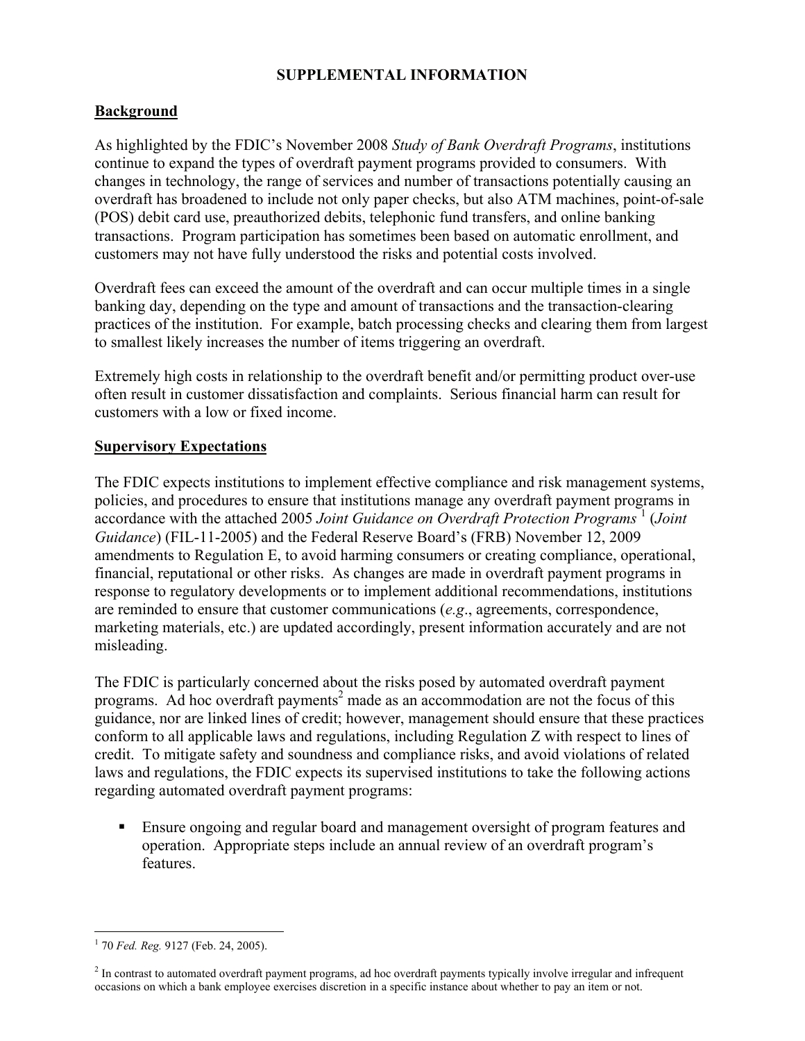## **SUPPLEMENTAL INFORMATION**

## **Background**

As highlighted by the FDIC's November 2008 *Study of Bank Overdraft Programs*, institutions continue to expand the types of overdraft payment programs provided to consumers. With changes in technology, the range of services and number of transactions potentially causing an overdraft has broadened to include not only paper checks, but also ATM machines, point-of-sale (POS) debit card use, preauthorized debits, telephonic fund transfers, and online banking transactions. Program participation has sometimes been based on automatic enrollment, and customers may not have fully understood the risks and potential costs involved.

Overdraft fees can exceed the amount of the overdraft and can occur multiple times in a single banking day, depending on the type and amount of transactions and the transaction-clearing practices of the institution. For example, batch processing checks and clearing them from largest to smallest likely increases the number of items triggering an overdraft.

Extremely high costs in relationship to the overdraft benefit and/or permitting product over-use often result in customer dissatisfaction and complaints. Serious financial harm can result for customers with a low or fixed income.

## **Supervisory Expectations**

The FDIC expects institutions to implement effective compliance and risk management systems, policies, and procedures to ensure that institutions manage any overdraft payment programs in accordance with the attached 2005 Joint Guidance on Overdraft Protection Programs<sup>1</sup> (Joint *Guidance*) (FIL-11-2005) and the Federal Reserve Board's (FRB) November 12, 2009 amendments to Regulation E, to avoid harming consumers or creating compliance, operational, financial, reputational or other risks. As changes are made in overdraft payment programs in response to regulatory developments or to implement additional recommendations, institutions are reminded to ensure that customer communications (*e.g*., agreements, correspondence, marketing materials, etc.) are updated accordingly, present information accurately and are not misleading.

The FDIC is particularly concerned about the risks posed by automated overdraft payment programs. Ad hoc overdraft payments<sup>2</sup> made as an accommodation are not the focus of this guidance, nor are linked lines of credit; however, management should ensure that these practices conform to all applicable laws and regulations, including Regulation Z with respect to lines of credit. To mitigate safety and soundness and compliance risks, and avoid violations of related laws and regulations, the FDIC expects its supervised institutions to take the following actions regarding automated overdraft payment programs:

 Ensure ongoing and regular board and management oversight of program features and operation. Appropriate steps include an annual review of an overdraft program's features.

 $\overline{a}$ 1 70 *Fed. Reg.* 9127 (Feb. 24, 2005).

 $2<sup>2</sup>$  In contrast to automated overdraft payment programs, ad hoc overdraft payments typically involve irregular and infrequent occasions on which a bank employee exercises discretion in a specific instance about whether to pay an item or not.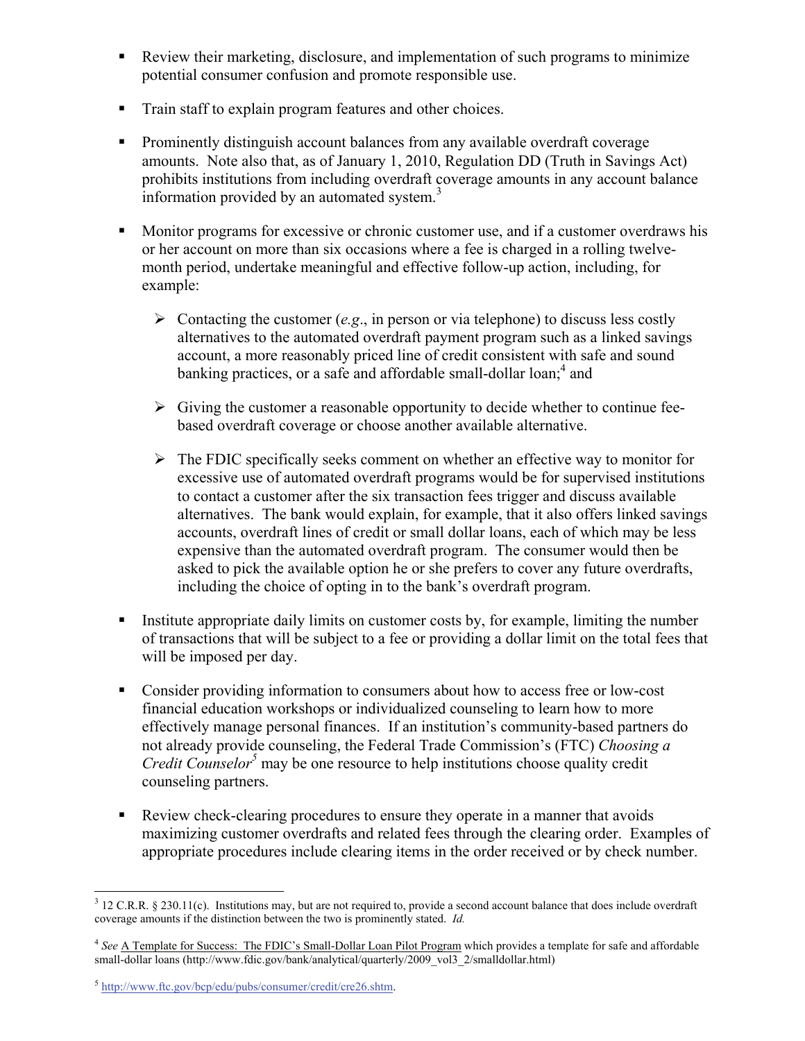- Review their marketing, disclosure, and implementation of such programs to minimize potential consumer confusion and promote responsible use.
- Train staff to explain program features and other choices.
- Prominently distinguish account balances from any available overdraft coverage amounts. Note also that, as of January 1, 2010, Regulation DD (Truth in Savings Act) prohibits institutions from including overdraft coverage amounts in any account balance information provided by an automated system. $3$
- **Monitor programs for excessive or chronic customer use, and if a customer overdraws his** or her account on more than six occasions where a fee is charged in a rolling twelvemonth period, undertake meaningful and effective follow-up action, including, for example:
	- $\triangleright$  Contacting the customer (*e.g.*, in person or via telephone) to discuss less costly alternatives to the automated overdraft payment program such as a linked savings account, a more reasonably priced line of credit consistent with safe and sound banking practices, or a safe and affordable small-dollar loan;<sup>4</sup> and
	- $\triangleright$  Giving the customer a reasonable opportunity to decide whether to continue feebased overdraft coverage or choose another available alternative.
	- $\triangleright$  The FDIC specifically seeks comment on whether an effective way to monitor for excessive use of automated overdraft programs would be for supervised institutions to contact a customer after the six transaction fees trigger and discuss available alternatives. The bank would explain, for example, that it also offers linked savings accounts, overdraft lines of credit or small dollar loans, each of which may be less expensive than the automated overdraft program. The consumer would then be asked to pick the available option he or she prefers to cover any future overdrafts, including the choice of opting in to the bank's overdraft program.
- Institute appropriate daily limits on customer costs by, for example, limiting the number of transactions that will be subject to a fee or providing a dollar limit on the total fees that will be imposed per day.
- Consider providing information to consumers about how to access free or low-cost financial education workshops or individualized counseling to learn how to more effectively manage personal finances. If an institution's community-based partners do not already provide counseling, the Federal Trade Commission's (FTC) *Choosing a Credit Counselor<sup>5</sup>* may be one resource to help institutions choose quality credit counseling partners.
- Review check-clearing procedures to ensure they operate in a manner that avoids maximizing customer overdrafts and related fees through the clearing order. Examples of appropriate procedures include clearing items in the order received or by check number.

<sup>&</sup>lt;sup>3</sup> 12 C.R.R. § 230.11(c). Institutions may, but are not required to, provide a second account balance that does include overdraft coverage amounts if the distinction between the two is prominently stated. *Id.* 

<sup>4</sup> *See* A Template for Success: The FDIC's Small-Dollar Loan Pilot Program which provides a template for safe and affordable small-dollar loans (http://www.fdic.gov/bank/analytical/quarterly/2009\_vol3\_2/smalldollar.html)

<sup>5</sup> http://www.ftc.gov/bcp/edu/pubs/consumer/credit/cre26.shtm.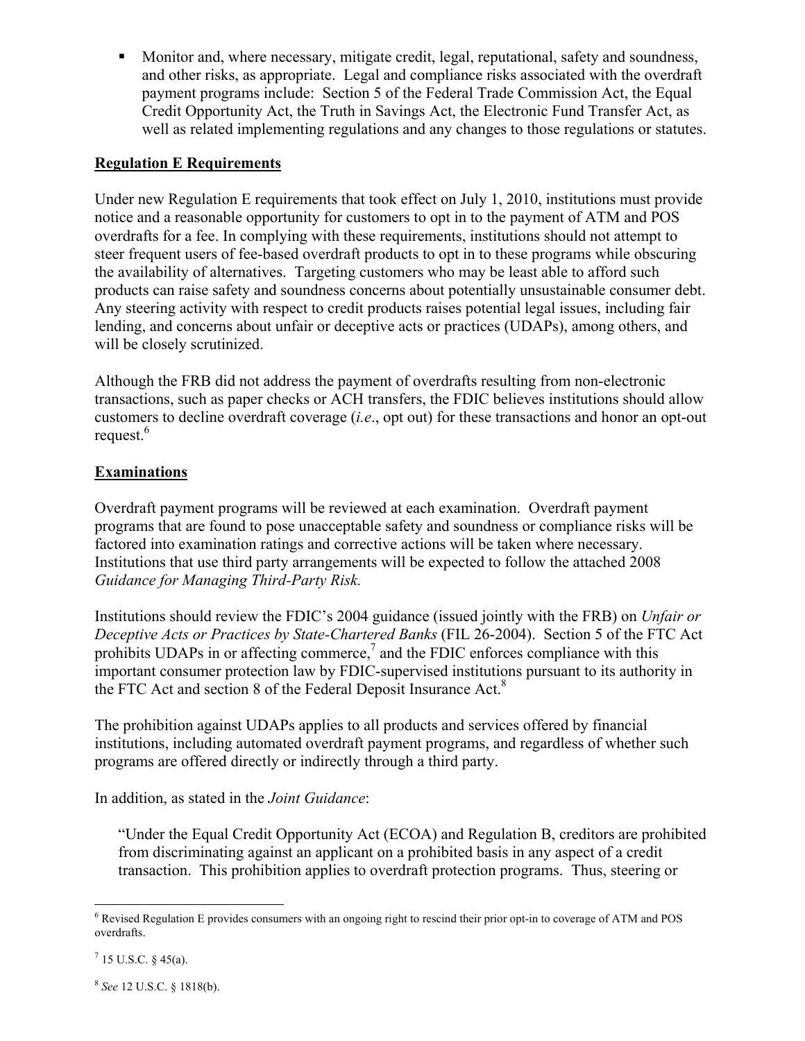• Monitor and, where necessary, mitigate credit, legal, reputational, safety and soundness, and other risks, as appropriate. Legal and compliance risks associated with the overdraft payment programs include: Section 5 of the Federal Trade Commission Act, the Equal Credit Opportunity Act, the Truth in Savings Act, the Electronic Fund Transfer Act, as well as related implementing regulations and any changes to those regulations or statutes.

## **Regulation E Requirements**

Under new Regulation E requirements that took effect on July 1, 2010, institutions must provide notice and a reasonable opportunity for customers to opt in to the payment of ATM and POS overdrafts for a fee. In complying with these requirements, institutions should not attempt to steer frequent users of fee-based overdraft products to opt in to these programs while obscuring the availability of alternatives. Targeting customers who may be least able to afford such products can raise safety and soundness concerns about potentially unsustainable consumer debt. Any steering activity with respect to credit products raises potential legal issues, including fair lending, and concerns about unfair or deceptive acts or practices (UDAPs), among others, and will be closely scrutinized.

Although the FRB did not address the payment of overdrafts resulting from non-electronic transactions, such as paper checks or ACH transfers, the FDIC believes institutions should allow customers to decline overdraft coverage (*i.e*., opt out) for these transactions and honor an opt-out request. $6$ 

# **Examinations**

Overdraft payment programs will be reviewed at each examination. Overdraft payment programs that are found to pose unacceptable safety and soundness or compliance risks will be factored into examination ratings and corrective actions will be taken where necessary. Institutions that use third party arrangements will be expected to follow the attached 2008 *Guidance for Managing Third-Party Risk.* 

Institutions should review the FDIC's 2004 guidance (issued jointly with the FRB) on *Unfair or Deceptive Acts or Practices by State-Chartered Banks* (FIL 26-2004). Section 5 of the FTC Act prohibits UDAPs in or affecting commerce,<sup>7</sup> and the FDIC enforces compliance with this important consumer protection law by FDIC-supervised institutions pursuant to its authority in the FTC Act and section 8 of the Federal Deposit Insurance Act.<sup>8</sup>

The prohibition against UDAPs applies to all products and services offered by financial institutions, including automated overdraft payment programs, and regardless of whether such programs are offered directly or indirectly through a third party.

In addition, as stated in the *Joint Guidance*:

"Under the Equal Credit Opportunity Act (ECOA) and Regulation B, creditors are prohibited from discriminating against an applicant on a prohibited basis in any aspect of a credit transaction. This prohibition applies to overdraft protection programs. Thus, steering or

<sup>8</sup> *See* 12 U.S.C. § 1818(b).

 6 Revised Regulation E provides consumers with an ongoing right to rescind their prior opt-in to coverage of ATM and POS overdrafts.

 $^7$  15 U.S.C. § 45(a).